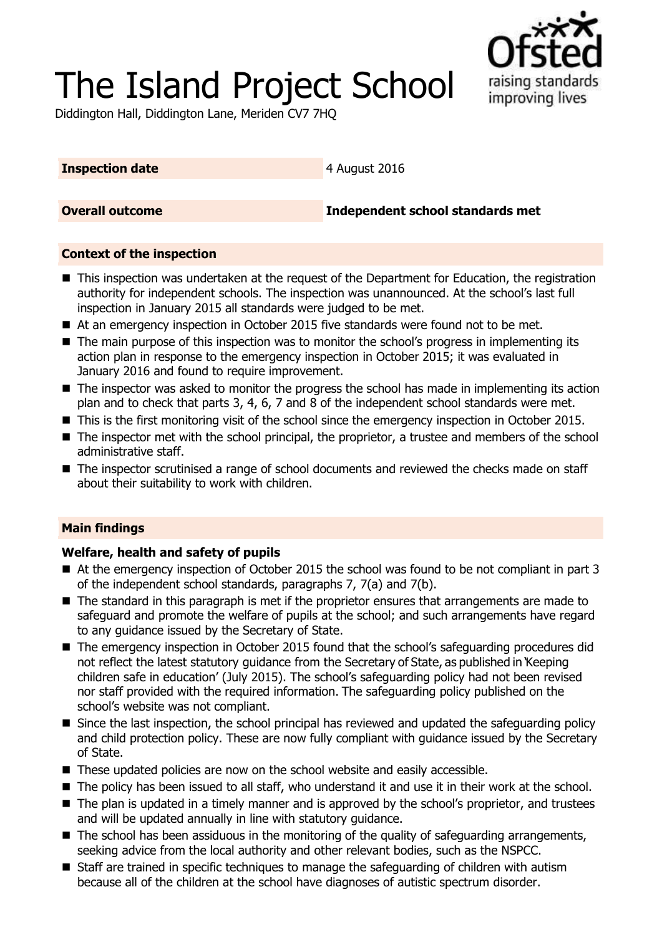# The Island Project School



Diddington Hall, Diddington Lane, Meriden CV7 7HQ

### **Inspection date** 4 August 2016

**Overall outcome Independent school standards met**

## **Context of the inspection**

- This inspection was undertaken at the request of the Department for Education, the registration authority for independent schools. The inspection was unannounced. At the school's last full inspection in January 2015 all standards were judged to be met.
- At an emergency inspection in October 2015 five standards were found not to be met.
- The main purpose of this inspection was to monitor the school's progress in implementing its action plan in response to the emergency inspection in October 2015; it was evaluated in January 2016 and found to require improvement.
- $\blacksquare$  The inspector was asked to monitor the progress the school has made in implementing its action plan and to check that parts 3, 4, 6, 7 and 8 of the independent school standards were met.
- This is the first monitoring visit of the school since the emergency inspection in October 2015.
- The inspector met with the school principal, the proprietor, a trustee and members of the school administrative staff.
- The inspector scrutinised a range of school documents and reviewed the checks made on staff about their suitability to work with children.

## **Main findings**

## **Welfare, health and safety of pupils**

- At the emergency inspection of October 2015 the school was found to be not compliant in part 3 of the independent school standards, paragraphs 7, 7(a) and 7(b).
- The standard in this paragraph is met if the proprietor ensures that arrangements are made to safeguard and promote the welfare of pupils at the school; and such arrangements have regard to any guidance issued by the Secretary of State.
- The emergency inspection in October 2015 found that the school's safeguarding procedures did not reflect the latest statutory guidance from the Secretary of State, as published in 'Keeping children safe in education' (July 2015). The school's safeguarding policy had not been revised nor staff provided with the required information. The safeguarding policy published on the school's website was not compliant.
- Since the last inspection, the school principal has reviewed and updated the safeguarding policy and child protection policy. These are now fully compliant with guidance issued by the Secretary of State.
- These updated policies are now on the school website and easily accessible.
- The policy has been issued to all staff, who understand it and use it in their work at the school.
- The plan is updated in a timely manner and is approved by the school's proprietor, and trustees and will be updated annually in line with statutory guidance.
- The school has been assiduous in the monitoring of the quality of safeguarding arrangements, seeking advice from the local authority and other relevant bodies, such as the NSPCC.
- Staff are trained in specific techniques to manage the safeguarding of children with autism because all of the children at the school have diagnoses of autistic spectrum disorder.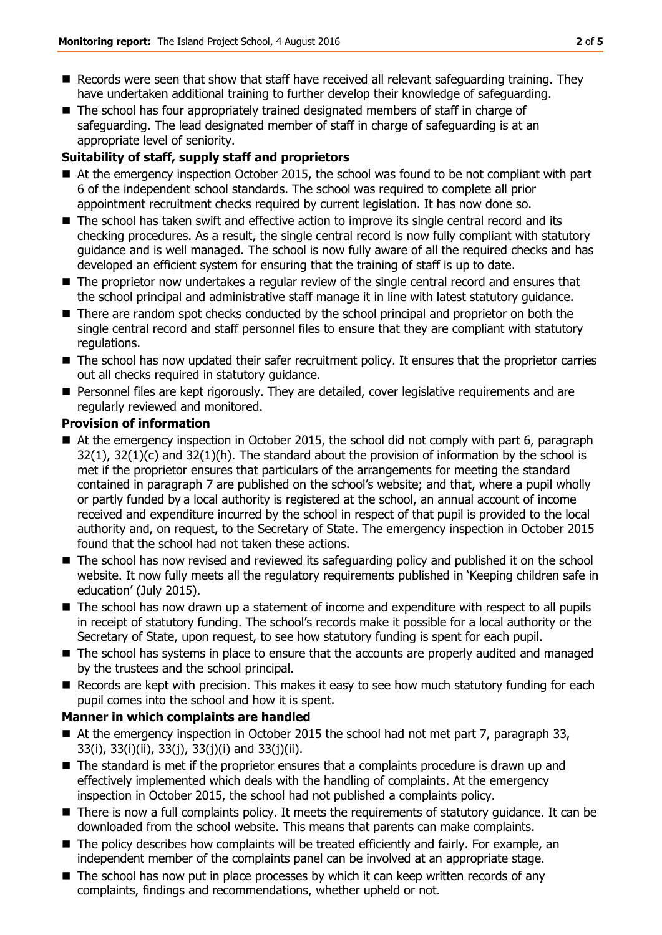- Records were seen that show that staff have received all relevant safeguarding training. They have undertaken additional training to further develop their knowledge of safeguarding.
- The school has four appropriately trained designated members of staff in charge of safeguarding. The lead designated member of staff in charge of safeguarding is at an appropriate level of seniority.

# **Suitability of staff, supply staff and proprietors**

- At the emergency inspection October 2015, the school was found to be not compliant with part 6 of the independent school standards. The school was required to complete all prior appointment recruitment checks required by current legislation. It has now done so.
- The school has taken swift and effective action to improve its single central record and its checking procedures. As a result, the single central record is now fully compliant with statutory guidance and is well managed. The school is now fully aware of all the required checks and has developed an efficient system for ensuring that the training of staff is up to date.
- The proprietor now undertakes a regular review of the single central record and ensures that the school principal and administrative staff manage it in line with latest statutory guidance.
- There are random spot checks conducted by the school principal and proprietor on both the single central record and staff personnel files to ensure that they are compliant with statutory regulations.
- The school has now updated their safer recruitment policy. It ensures that the proprietor carries out all checks required in statutory guidance.
- **Personnel files are kept rigorously. They are detailed, cover legislative requirements and are** regularly reviewed and monitored.

## **Provision of information**

- At the emergency inspection in October 2015, the school did not comply with part 6, paragraph  $32(1)$ ,  $32(1)(c)$  and  $32(1)(h)$ . The standard about the provision of information by the school is met if the proprietor ensures that particulars of the arrangements for meeting the standard contained in paragraph 7 are published on the school's website; and that, where a pupil wholly or partly funded by a local authority is registered at the school, an annual account of income received and expenditure incurred by the school in respect of that pupil is provided to the local authority and, on request, to the Secretary of State. The emergency inspection in October 2015 found that the school had not taken these actions.
- The school has now revised and reviewed its safeguarding policy and published it on the school website. It now fully meets all the regulatory requirements published in 'Keeping children safe in education' (July 2015).
- $\blacksquare$  The school has now drawn up a statement of income and expenditure with respect to all pupils in receipt of statutory funding. The school's records make it possible for a local authority or the Secretary of State, upon request, to see how statutory funding is spent for each pupil.
- The school has systems in place to ensure that the accounts are properly audited and managed by the trustees and the school principal.
- Records are kept with precision. This makes it easy to see how much statutory funding for each pupil comes into the school and how it is spent.

## **Manner in which complaints are handled**

- At the emergency inspection in October 2015 the school had not met part 7, paragraph 33, 33(i), 33(i)(ii), 33(j), 33(j)(i) and 33(j)(ii).
- The standard is met if the proprietor ensures that a complaints procedure is drawn up and effectively implemented which deals with the handling of complaints. At the emergency inspection in October 2015, the school had not published a complaints policy.
- There is now a full complaints policy. It meets the requirements of statutory quidance. It can be downloaded from the school website. This means that parents can make complaints.
- The policy describes how complaints will be treated efficiently and fairly. For example, an independent member of the complaints panel can be involved at an appropriate stage.
- The school has now put in place processes by which it can keep written records of any complaints, findings and recommendations, whether upheld or not.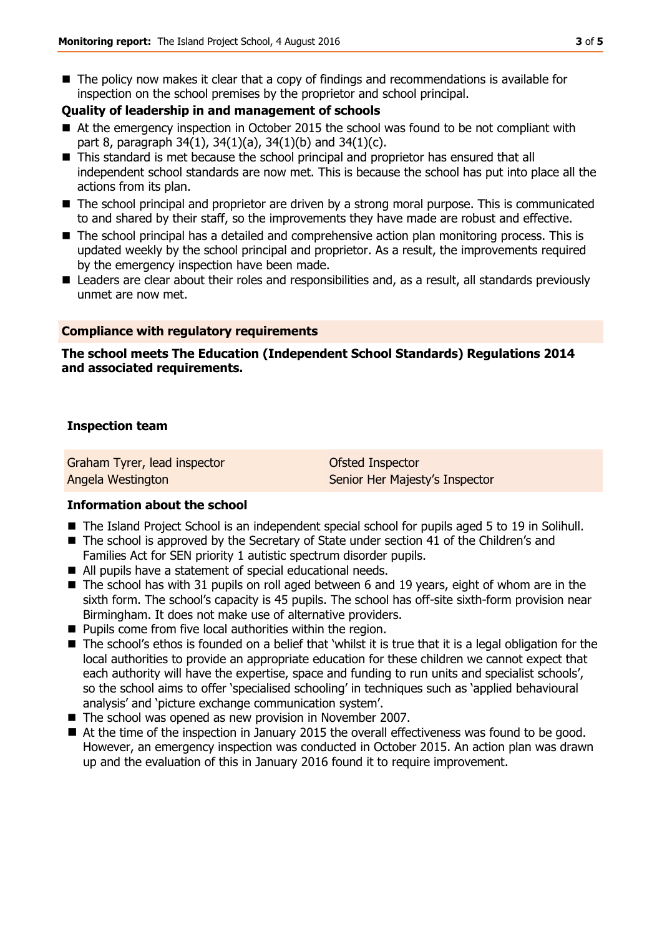■ The policy now makes it clear that a copy of findings and recommendations is available for inspection on the school premises by the proprietor and school principal.

#### **Quality of leadership in and management of schools**

- At the emergency inspection in October 2015 the school was found to be not compliant with part 8, paragraph 34(1), 34(1)(a), 34(1)(b) and 34(1)(c).
- This standard is met because the school principal and proprietor has ensured that all independent school standards are now met. This is because the school has put into place all the actions from its plan.
- The school principal and proprietor are driven by a strong moral purpose. This is communicated to and shared by their staff, so the improvements they have made are robust and effective.
- The school principal has a detailed and comprehensive action plan monitoring process. This is updated weekly by the school principal and proprietor. As a result, the improvements required by the emergency inspection have been made.
- Leaders are clear about their roles and responsibilities and, as a result, all standards previously unmet are now met.

#### **Compliance with regulatory requirements**

#### **The school meets The Education (Independent School Standards) Regulations 2014 and associated requirements.**

#### **Inspection team**

Graham Tyrer, lead inspector Angela Westington

Ofsted Inspector Senior Her Majesty's Inspector

#### **Information about the school**

- The Island Project School is an independent special school for pupils aged 5 to 19 in Solihull.
- The school is approved by the Secretary of State under section 41 of the Children's and Families Act for SEN priority 1 autistic spectrum disorder pupils.
- All pupils have a statement of special educational needs.
- The school has with 31 pupils on roll aged between 6 and 19 years, eight of whom are in the sixth form. The school's capacity is 45 pupils. The school has off-site sixth-form provision near Birmingham. It does not make use of alternative providers.
- **Pupils come from five local authorities within the region.**
- The school's ethos is founded on a belief that 'whilst it is true that it is a legal obligation for the local authorities to provide an appropriate education for these children we cannot expect that each authority will have the expertise, space and funding to run units and specialist schools', so the school aims to offer 'specialised schooling' in techniques such as 'applied behavioural analysis' and 'picture exchange communication system'.
- The school was opened as new provision in November 2007.
- At the time of the inspection in January 2015 the overall effectiveness was found to be good. However, an emergency inspection was conducted in October 2015. An action plan was drawn up and the evaluation of this in January 2016 found it to require improvement.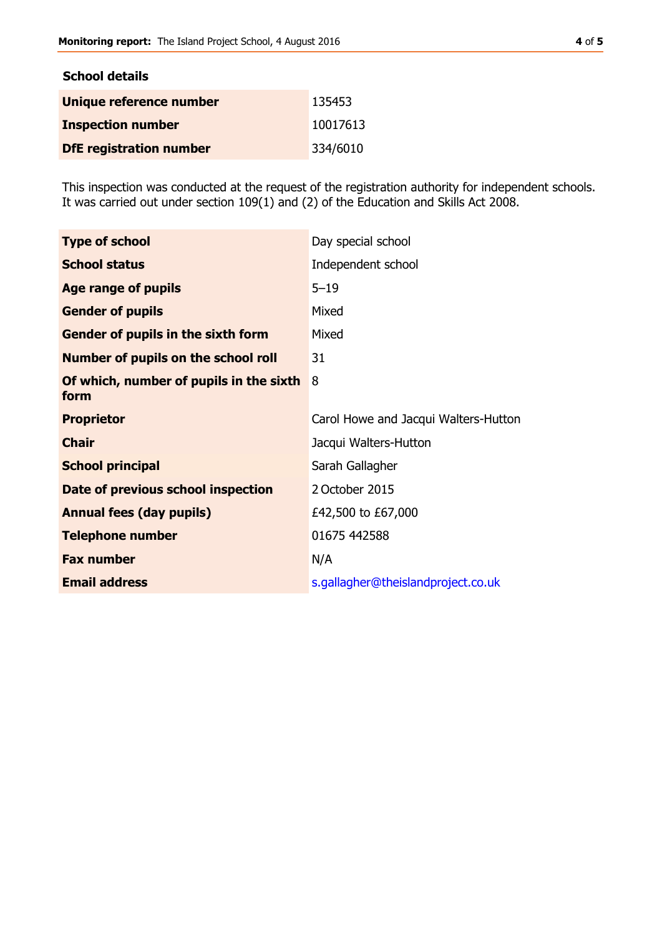| <b>School details</b>          |          |
|--------------------------------|----------|
| Unique reference number        | 135453   |
| <b>Inspection number</b>       | 10017613 |
| <b>DfE</b> registration number | 334/6010 |

This inspection was conducted at the request of the registration authority for independent schools. It was carried out under section 109(1) and (2) of the Education and Skills Act 2008.

| <b>Type of school</b>                           | Day special school                   |
|-------------------------------------------------|--------------------------------------|
| <b>School status</b>                            | Independent school                   |
| Age range of pupils                             | $5 - 19$                             |
| <b>Gender of pupils</b>                         | Mixed                                |
| Gender of pupils in the sixth form              | Mixed                                |
| <b>Number of pupils on the school roll</b>      | 31                                   |
| Of which, number of pupils in the sixth<br>form | 8                                    |
| <b>Proprietor</b>                               | Carol Howe and Jacqui Walters-Hutton |
| <b>Chair</b>                                    | Jacqui Walters-Hutton                |
| <b>School principal</b>                         | Sarah Gallagher                      |
| Date of previous school inspection              | 2 October 2015                       |
| <b>Annual fees (day pupils)</b>                 | £42,500 to £67,000                   |
| <b>Telephone number</b>                         | 01675 442588                         |
| <b>Fax number</b>                               | N/A                                  |
| <b>Email address</b>                            | s.gallagher@theislandproject.co.uk   |